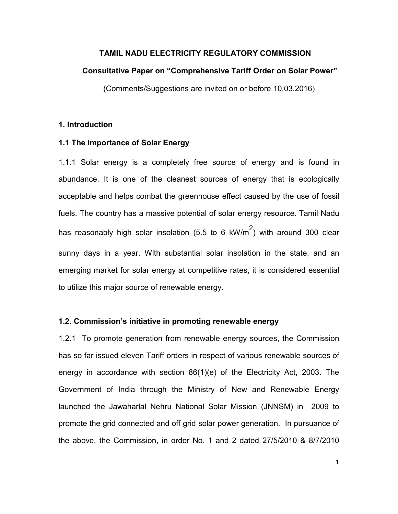### TAMIL NADU ELECTRICITY REGULATORY COMMISSION

#### Consultative Paper on "Comprehensive Tariff Order on Solar Power"

(Comments/Suggestions are invited on or before 10.03.2016)

### 1. Introduction

### 1.1 The importance of Solar Energy

1.1.1 Solar energy is a completely free source of energy and is found in abundance. It is one of the cleanest sources of energy that is ecologically acceptable and helps combat the greenhouse effect caused by the use of fossil fuels. The country has a massive potential of solar energy resource. Tamil Nadu has reasonably high solar insolation (5.5 to 6 kW/m<sup>2</sup>) with around 300 clear sunny days in a year. With substantial solar insolation in the state, and an emerging market for solar energy at competitive rates, it is considered essential to utilize this major source of renewable energy.

### 1.2. Commission's initiative in promoting renewable energy

1.2.1 To promote generation from renewable energy sources, the Commission has so far issued eleven Tariff orders in respect of various renewable sources of energy in accordance with section 86(1)(e) of the Electricity Act, 2003. The Government of India through the Ministry of New and Renewable Energy launched the Jawaharlal Nehru National Solar Mission (JNNSM) in 2009 to promote the grid connected and off grid solar power generation. In pursuance of the above, the Commission, in order No. 1 and 2 dated 27/5/2010 & 8/7/2010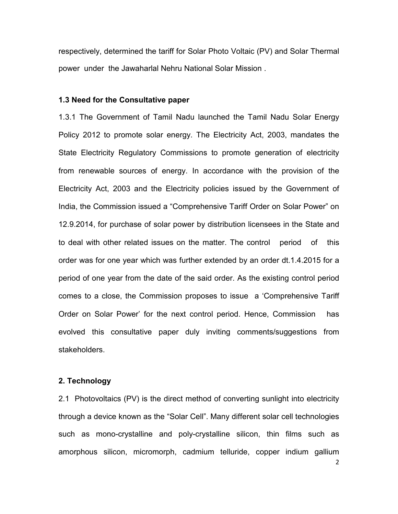respectively, determined the tariff for Solar Photo Voltaic (PV) and Solar Thermal power under the Jawaharlal Nehru National Solar Mission .

### 1.3 Need for the Consultative paper

1.3.1 The Government of Tamil Nadu launched the Tamil Nadu Solar Energy Policy 2012 to promote solar energy. The Electricity Act, 2003, mandates the State Electricity Regulatory Commissions to promote generation of electricity from renewable sources of energy. In accordance with the provision of the Electricity Act, 2003 and the Electricity policies issued by the Government of India, the Commission issued a "Comprehensive Tariff Order on Solar Power" on 12.9.2014, for purchase of solar power by distribution licensees in the State and to deal with other related issues on the matter. The control period of this order was for one year which was further extended by an order dt.1.4.2015 for a period of one year from the date of the said order. As the existing control period comes to a close, the Commission proposes to issue a 'Comprehensive Tariff Order on Solar Power' for the next control period. Hence, Commission has evolved this consultative paper duly inviting comments/suggestions from stakeholders.

#### 2. Technology

2.1 Photovoltaics (PV) is the direct method of converting sunlight into electricity through a device known as the "Solar Cell". Many different solar cell technologies such as mono-crystalline and poly-crystalline silicon, thin films such as amorphous silicon, micromorph, cadmium telluride, copper indium gallium

2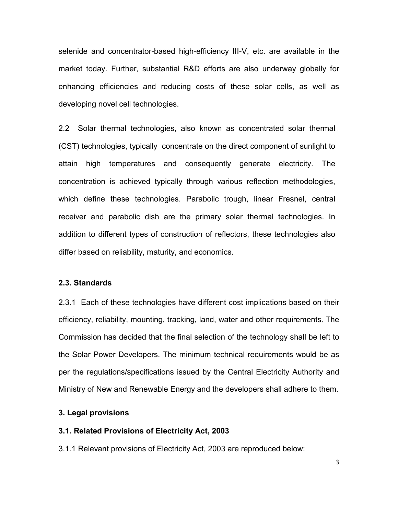selenide and concentrator-based high-efficiency III-V, etc. are available in the market today. Further, substantial R&D efforts are also underway globally for enhancing efficiencies and reducing costs of these solar cells, as well as developing novel cell technologies.

2.2 Solar thermal technologies, also known as concentrated solar thermal (CST) technologies, typically concentrate on the direct component of sunlight to attain high temperatures and consequently generate electricity. The concentration is achieved typically through various reflection methodologies, which define these technologies. Parabolic trough, linear Fresnel, central receiver and parabolic dish are the primary solar thermal technologies. In addition to different types of construction of reflectors, these technologies also differ based on reliability, maturity, and economics.

#### 2.3. Standards

2.3.1 Each of these technologies have different cost implications based on their efficiency, reliability, mounting, tracking, land, water and other requirements. The Commission has decided that the final selection of the technology shall be left to the Solar Power Developers. The minimum technical requirements would be as per the regulations/specifications issued by the Central Electricity Authority and Ministry of New and Renewable Energy and the developers shall adhere to them.

#### 3. Legal provisions

#### 3.1. Related Provisions of Electricity Act, 2003

3.1.1 Relevant provisions of Electricity Act, 2003 are reproduced below: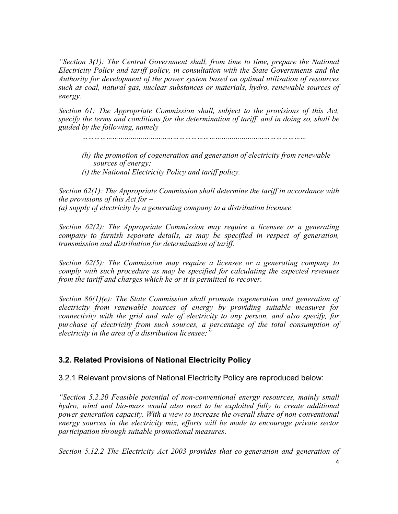"Section  $3(1)$ : The Central Government shall, from time to time, prepare the National Electricity Policy and tariff policy, in consultation with the State Governments and the Authority for development of the power system based on optimal utilisation of resources such as coal, natural gas, nuclear substances or materials, hydro, renewable sources of energy.

Section 61: The Appropriate Commission shall, subject to the provisions of this Act, specify the terms and conditions for the determination of tariff, and in doing so, shall be guided by the following, namely

…………………………………………………………………………………………………

- (h) the promotion of cogeneration and generation of electricity from renewable sources of energy;
- (i) the National Electricity Policy and tariff policy.

Section 62(1): The Appropriate Commission shall determine the tariff in accordance with the provisions of this  $Act$  for  $-$ 

(a) supply of electricity by a generating company to a distribution licensee:

Section 62(2): The Appropriate Commission may require a licensee or a generating company to furnish separate details, as may be specified in respect of generation, transmission and distribution for determination of tariff.

Section 62(5): The Commission may require a licensee or a generating company to comply with such procedure as may be specified for calculating the expected revenues from the tariff and charges which he or it is permitted to recover.

Section 86(1)(e): The State Commission shall promote cogeneration and generation of electricity from renewable sources of energy by providing suitable measures for connectivity with the grid and sale of electricity to any person, and also specify, for purchase of electricity from such sources, a percentage of the total consumption of electricity in the area of a distribution licensee;  $\ddot{ }$ 

# 3.2. Related Provisions of National Electricity Policy

3.2.1 Relevant provisions of National Electricity Policy are reproduced below:

"Section 5.2.20 Feasible potential of non-conventional energy resources, mainly small hydro, wind and bio-mass would also need to be exploited fully to create additional power generation capacity. With a view to increase the overall share of non-conventional energy sources in the electricity mix, efforts will be made to encourage private sector participation through suitable promotional measures.

Section 5.12.2 The Electricity Act 2003 provides that co-generation and generation of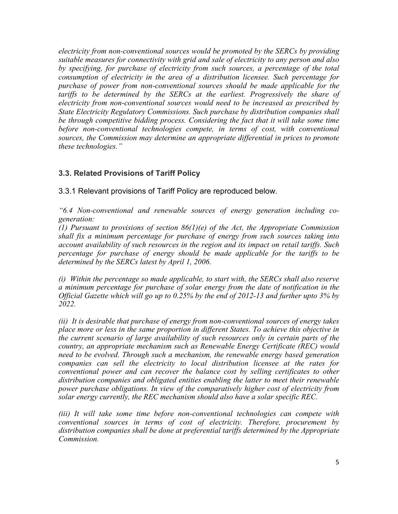electricity from non-conventional sources would be promoted by the SERCs by providing suitable measures for connectivity with grid and sale of electricity to any person and also by specifying, for purchase of electricity from such sources, a percentage of the total consumption of electricity in the area of a distribution licensee. Such percentage for purchase of power from non-conventional sources should be made applicable for the tariffs to be determined by the SERCs at the earliest. Progressively the share of electricity from non-conventional sources would need to be increased as prescribed by State Electricity Regulatory Commissions. Such purchase by distribution companies shall be through competitive bidding process. Considering the fact that it will take some time before non-conventional technologies compete, in terms of cost, with conventional sources, the Commission may determine an appropriate differential in prices to promote these technologies."

# 3.3. Related Provisions of Tariff Policy

3.3.1 Relevant provisions of Tariff Policy are reproduced below.

"6.4 Non-conventional and renewable sources of energy generation including cogeneration:

(1) Pursuant to provisions of section  $86(1)(e)$  of the Act, the Appropriate Commission shall fix a minimum percentage for purchase of energy from such sources taking into account availability of such resources in the region and its impact on retail tariffs. Such percentage for purchase of energy should be made applicable for the tariffs to be determined by the SERCs latest by April 1, 2006.

(i) Within the percentage so made applicable, to start with, the SERCs shall also reserve a minimum percentage for purchase of solar energy from the date of notification in the Official Gazette which will go up to 0.25% by the end of 2012-13 and further upto 3% by 2022.

(ii) It is desirable that purchase of energy from non-conventional sources of energy takes place more or less in the same proportion in different States. To achieve this objective in the current scenario of large availability of such resources only in certain parts of the country, an appropriate mechanism such as Renewable Energy Certificate (REC) would need to be evolved. Through such a mechanism, the renewable energy based generation companies can sell the electricity to local distribution licensee at the rates for conventional power and can recover the balance cost by selling certificates to other distribution companies and obligated entities enabling the latter to meet their renewable power purchase obligations. In view of the comparatively higher cost of electricity from solar energy currently, the REC mechanism should also have a solar specific REC.

(iii) It will take some time before non-conventional technologies can compete with conventional sources in terms of cost of electricity. Therefore, procurement by distribution companies shall be done at preferential tariffs determined by the Appropriate **Commission**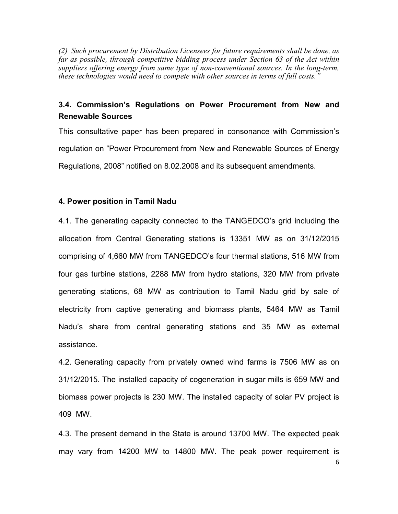(2) Such procurement by Distribution Licensees for future requirements shall be done, as far as possible, through competitive bidding process under Section 63 of the Act within suppliers offering energy from same type of non-conventional sources. In the long-term, these technologies would need to compete with other sources in terms of full costs."

# 3.4. Commission's Regulations on Power Procurement from New and Renewable Sources

This consultative paper has been prepared in consonance with Commission's regulation on "Power Procurement from New and Renewable Sources of Energy Regulations, 2008" notified on 8.02.2008 and its subsequent amendments.

#### 4. Power position in Tamil Nadu

4.1. The generating capacity connected to the TANGEDCO's grid including the allocation from Central Generating stations is 13351 MW as on 31/12/2015 comprising of 4,660 MW from TANGEDCO's four thermal stations, 516 MW from four gas turbine stations, 2288 MW from hydro stations, 320 MW from private generating stations, 68 MW as contribution to Tamil Nadu grid by sale of electricity from captive generating and biomass plants, 5464 MW as Tamil Nadu's share from central generating stations and 35 MW as external assistance.

4.2. Generating capacity from privately owned wind farms is 7506 MW as on 31/12/2015. The installed capacity of cogeneration in sugar mills is 659 MW and biomass power projects is 230 MW. The installed capacity of solar PV project is 409 MW.

4.3. The present demand in the State is around 13700 MW. The expected peak may vary from 14200 MW to 14800 MW. The peak power requirement is

6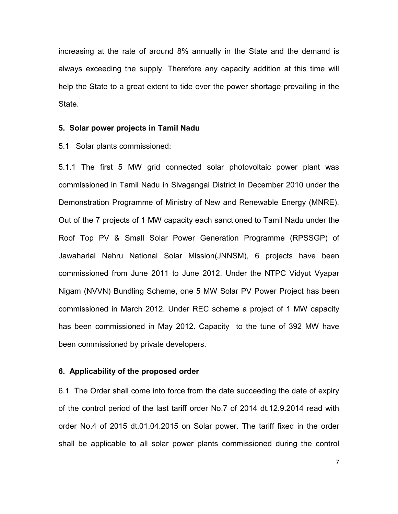increasing at the rate of around 8% annually in the State and the demand is always exceeding the supply. Therefore any capacity addition at this time will help the State to a great extent to tide over the power shortage prevailing in the State.

### 5. Solar power projects in Tamil Nadu

5.1 Solar plants commissioned:

5.1.1 The first 5 MW grid connected solar photovoltaic power plant was commissioned in Tamil Nadu in Sivagangai District in December 2010 under the Demonstration Programme of Ministry of New and Renewable Energy (MNRE). Out of the 7 projects of 1 MW capacity each sanctioned to Tamil Nadu under the Roof Top PV & Small Solar Power Generation Programme (RPSSGP) of Jawaharlal Nehru National Solar Mission(JNNSM), 6 projects have been commissioned from June 2011 to June 2012. Under the NTPC Vidyut Vyapar Nigam (NVVN) Bundling Scheme, one 5 MW Solar PV Power Project has been commissioned in March 2012. Under REC scheme a project of 1 MW capacity has been commissioned in May 2012. Capacity to the tune of 392 MW have been commissioned by private developers.

### 6. Applicability of the proposed order

6.1 The Order shall come into force from the date succeeding the date of expiry of the control period of the last tariff order No.7 of 2014 dt.12.9.2014 read with order No.4 of 2015 dt.01.04.2015 on Solar power. The tariff fixed in the order shall be applicable to all solar power plants commissioned during the control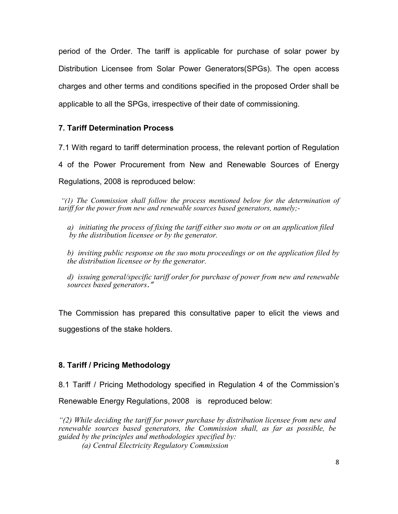period of the Order. The tariff is applicable for purchase of solar power by Distribution Licensee from Solar Power Generators(SPGs). The open access charges and other terms and conditions specified in the proposed Order shall be applicable to all the SPGs, irrespective of their date of commissioning.

# 7. Tariff Determination Process

7.1 With regard to tariff determination process, the relevant portion of Regulation

4 of the Power Procurement from New and Renewable Sources of Energy

Regulations, 2008 is reproduced below:

"(1) The Commission shall follow the process mentioned below for the determination of tariff for the power from new and renewable sources based generators, namely;-

a) initiating the process of fixing the tariff either suo motu or on an application filed by the distribution licensee or by the generator.

b) inviting public response on the suo motu proceedings or on the application filed by the distribution licensee or by the generator.

d) issuing general/specific tariff order for purchase of power from new and renewable sources based generators."

The Commission has prepared this consultative paper to elicit the views and suggestions of the stake holders.

# 8. Tariff / Pricing Methodology

8.1 Tariff / Pricing Methodology specified in Regulation 4 of the Commission's Renewable Energy Regulations, 2008 is reproduced below:

 $\mathcal{L}(2)$  While deciding the tariff for power purchase by distribution licensee from new and renewable sources based generators, the Commission shall, as far as possible, be guided by the principles and methodologies specified by:

(a) Central Electricity Regulatory Commission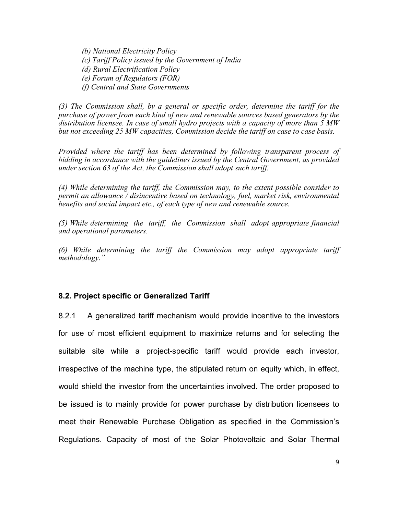(b) National Electricity Policy (c) Tariff Policy issued by the Government of India (d) Rural Electrification Policy (e) Forum of Regulators (FOR) (f) Central and State Governments

(3) The Commission shall, by a general or specific order, determine the tariff for the purchase of power from each kind of new and renewable sources based generators by the distribution licensee. In case of small hydro projects with a capacity of more than 5 MW but not exceeding 25 MW capacities, Commission decide the tariff on case to case basis.

Provided where the tariff has been determined by following transparent process of bidding in accordance with the guidelines issued by the Central Government, as provided under section 63 of the Act, the Commission shall adopt such tariff.

(4) While determining the tariff, the Commission may, to the extent possible consider to permit an allowance / disincentive based on technology, fuel, market risk, environmental benefits and social impact etc., of each type of new and renewable source.

(5) While determining the tariff, the Commission shall adopt appropriate financial and operational parameters.

(6) While determining the tariff the Commission may adopt appropriate tariff methodology."

# 8.2. Project specific or Generalized Tariff

8.2.1 A generalized tariff mechanism would provide incentive to the investors for use of most efficient equipment to maximize returns and for selecting the suitable site while a project-specific tariff would provide each investor, irrespective of the machine type, the stipulated return on equity which, in effect, would shield the investor from the uncertainties involved. The order proposed to be issued is to mainly provide for power purchase by distribution licensees to meet their Renewable Purchase Obligation as specified in the Commission's Regulations. Capacity of most of the Solar Photovoltaic and Solar Thermal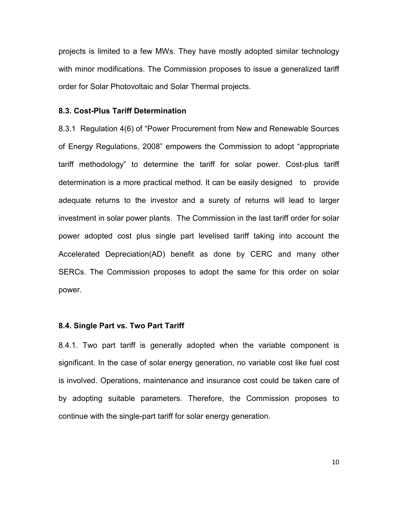projects is limited to a few MWs. They have mostly adopted similar technology with minor modifications. The Commission proposes to issue a generalized tariff order for Solar Photovoltaic and Solar Thermal projects.

### 8.3. Cost-Plus Tariff Determination

8.3.1 Regulation 4(6) of "Power Procurement from New and Renewable Sources of Energy Regulations, 2008" empowers the Commission to adopt "appropriate tariff methodology" to determine the tariff for solar power. Cost-plus tariff determination is a more practical method. It can be easily designed to provide adequate returns to the investor and a surety of returns will lead to larger investment in solar power plants. The Commission in the last tariff order for solar power adopted cost plus single part levelised tariff taking into account the Accelerated Depreciation(AD) benefit as done by CERC and many other SERCs. The Commission proposes to adopt the same for this order on solar power.

### 8.4. Single Part vs. Two Part Tariff

8.4.1. Two part tariff is generally adopted when the variable component is significant. In the case of solar energy generation, no variable cost like fuel cost is involved. Operations, maintenance and insurance cost could be taken care of by adopting suitable parameters. Therefore, the Commission proposes to continue with the single-part tariff for solar energy generation.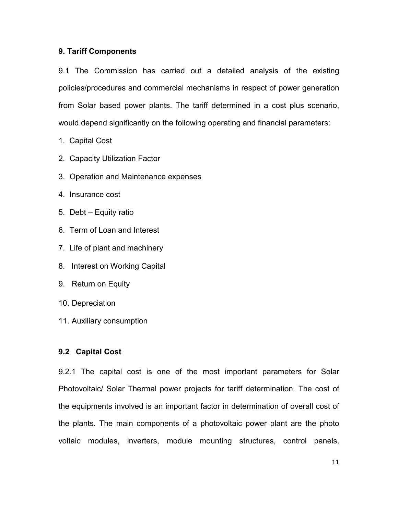### 9. Tariff Components

9.1 The Commission has carried out a detailed analysis of the existing policies/procedures and commercial mechanisms in respect of power generation from Solar based power plants. The tariff determined in a cost plus scenario, would depend significantly on the following operating and financial parameters:

- 1. Capital Cost
- 2. Capacity Utilization Factor
- 3. Operation and Maintenance expenses
- 4. Insurance cost
- 5. Debt Equity ratio
- 6. Term of Loan and Interest
- 7. Life of plant and machinery
- 8. Interest on Working Capital
- 9. Return on Equity
- 10. Depreciation
- 11. Auxiliary consumption

### 9.2 Capital Cost

9.2.1 The capital cost is one of the most important parameters for Solar Photovoltaic/ Solar Thermal power projects for tariff determination. The cost of the equipments involved is an important factor in determination of overall cost of the plants. The main components of a photovoltaic power plant are the photo voltaic modules, inverters, module mounting structures, control panels,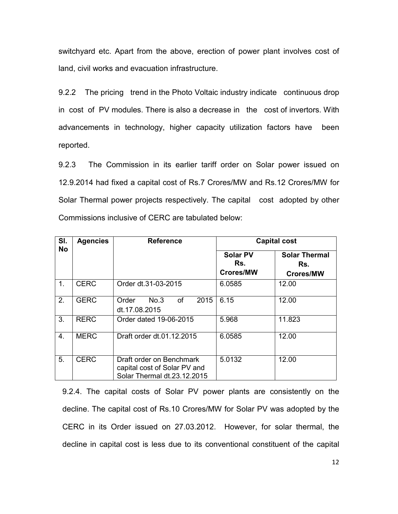switchyard etc. Apart from the above, erection of power plant involves cost of land, civil works and evacuation infrastructure.

9.2.2 The pricing trend in the Photo Voltaic industry indicate continuous drop in cost of PV modules. There is also a decrease in the cost of invertors. With advancements in technology, higher capacity utilization factors have been reported.

9.2.3 The Commission in its earlier tariff order on Solar power issued on 12.9.2014 had fixed a capital cost of Rs.7 Crores/MW and Rs.12 Crores/MW for Solar Thermal power projects respectively. The capital cost adopted by other Commissions inclusive of CERC are tabulated below:

| SI.<br><b>No</b> | <b>Agencies</b> | <b>Reference</b>                                                                        | <b>Capital cost</b>                        |                                                 |  |  |  |  |  |  |  |
|------------------|-----------------|-----------------------------------------------------------------------------------------|--------------------------------------------|-------------------------------------------------|--|--|--|--|--|--|--|
|                  |                 |                                                                                         | <b>Solar PV</b><br>Rs.<br><b>Crores/MW</b> | <b>Solar Thermal</b><br>Rs.<br><b>Crores/MW</b> |  |  |  |  |  |  |  |
| $\mathbf{1}$ .   | <b>CERC</b>     | Order dt.31-03-2015                                                                     | 6.0585                                     | 12.00                                           |  |  |  |  |  |  |  |
| 2.               | <b>GERC</b>     | <b>of</b><br>2015<br>No.3<br>Order<br>dt.17.08.2015                                     | 6.15                                       | 12.00                                           |  |  |  |  |  |  |  |
| 3.               | <b>RERC</b>     | Order dated 19-06-2015                                                                  | 5.968                                      | 11.823                                          |  |  |  |  |  |  |  |
| 4.               | <b>MERC</b>     | Draft order dt.01.12.2015                                                               | 6.0585                                     | 12.00                                           |  |  |  |  |  |  |  |
| 5.               | <b>CERC</b>     | Draft order on Benchmark<br>capital cost of Solar PV and<br>Solar Thermal dt.23.12.2015 | 5.0132                                     | 12.00                                           |  |  |  |  |  |  |  |

9.2.4. The capital costs of Solar PV power plants are consistently on the decline. The capital cost of Rs.10 Crores/MW for Solar PV was adopted by the CERC in its Order issued on 27.03.2012. However, for solar thermal, the decline in capital cost is less due to its conventional constituent of the capital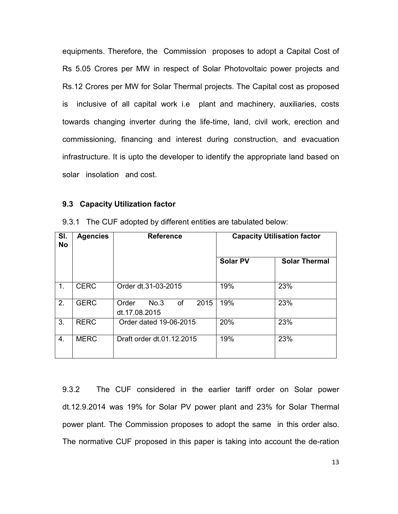equipments. Therefore, the Commission proposes to adopt a Capital Cost of Rs 5.05 Crores per MW in respect of Solar Photovoltaic power projects and Rs.12 Crores per MW for Solar Thermal projects. The Capital cost as proposed is inclusive of all capital work i.e plant and machinery, auxiliaries, costs towards changing inverter during the life-time, land, civil work, erection and commissioning, financing and interest during construction, and evacuation infrastructure. It is upto the developer to identify the appropriate land based on solar insolation and cost.

### 9.3 Capacity Utilization factor

| SI.<br><b>No</b> | <b>Agencies</b> | <b>Reference</b>                                    |                 | <b>Capacity Utilisation factor</b> |  |  |  |  |  |
|------------------|-----------------|-----------------------------------------------------|-----------------|------------------------------------|--|--|--|--|--|
|                  |                 |                                                     | <b>Solar PV</b> | <b>Solar Thermal</b>               |  |  |  |  |  |
| 1 <sub>1</sub>   | <b>CERC</b>     | Order dt.31-03-2015                                 | 19%<br>23%      |                                    |  |  |  |  |  |
| 2.               | <b>GERC</b>     | 2015<br>No.3<br><b>of</b><br>Order<br>dt.17.08.2015 | 19%             | 23%                                |  |  |  |  |  |
| 3.               | <b>RERC</b>     | Order dated 19-06-2015                              | 20%             | 23%                                |  |  |  |  |  |
| 4.               | <b>MERC</b>     | Draft order dt.01.12.2015                           | 19%             | 23%                                |  |  |  |  |  |

9.3.1 The CUF adopted by different entities are tabulated below:

9.3.2 The CUF considered in the earlier tariff order on Solar power dt.12.9.2014 was 19% for Solar PV power plant and 23% for Solar Thermal power plant. The Commission proposes to adopt the same in this order also. The normative CUF proposed in this paper is taking into account the de-ration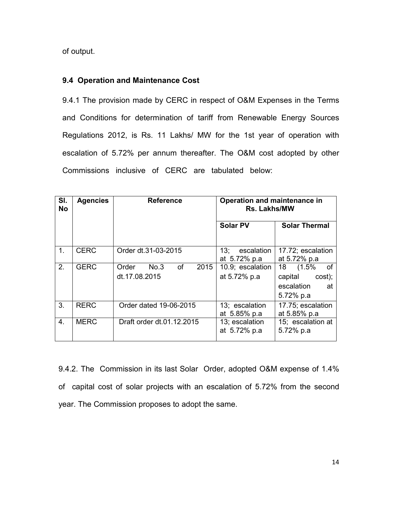of output.

### 9.4 Operation and Maintenance Cost

9.4.1 The provision made by CERC in respect of O&M Expenses in the Terms and Conditions for determination of tariff from Renewable Energy Sources Regulations 2012, is Rs. 11 Lakhs/ MW for the 1st year of operation with escalation of 5.72% per annum thereafter. The O&M cost adopted by other Commissions inclusive of CERC are tabulated below:

| SI.<br><b>No</b> | <b>Agencies</b> | <b>Reference</b>                                    | Operation and maintenance in<br><b>Rs. Lakhs/MW</b>              |                                                                                                |  |  |  |  |  |  |  |  |  |
|------------------|-----------------|-----------------------------------------------------|------------------------------------------------------------------|------------------------------------------------------------------------------------------------|--|--|--|--|--|--|--|--|--|
|                  |                 |                                                     | <b>Solar PV</b>                                                  | <b>Solar Thermal</b>                                                                           |  |  |  |  |  |  |  |  |  |
| 1.               | <b>CERC</b>     | Order dt.31-03-2015                                 | 13:<br>escalation<br>at 5.72% p.a                                | 17.72; escalation<br>at 5.72% p.a                                                              |  |  |  |  |  |  |  |  |  |
| 2.               | <b>GERC</b>     | <b>of</b><br>2015<br>No.3<br>Order<br>dt.17.08.2015 | 10.9; escalation<br>at 5.72% p.a                                 | <b>of</b><br>18 <sup>°</sup><br>$(1.5\%$<br>capital<br>cost);<br>escalation<br>at<br>5.72% p.a |  |  |  |  |  |  |  |  |  |
| 3.               | <b>RERC</b>     | Order dated 19-06-2015                              | 13; escalation<br>at 5.85% p.a                                   | 17.75; escalation<br>at 5.85% p.a                                                              |  |  |  |  |  |  |  |  |  |
| 4.               | <b>MERC</b>     | Draft order dt.01.12.2015                           | 15; escalation at<br>13; escalation<br>at 5.72% p.a<br>5.72% p.a |                                                                                                |  |  |  |  |  |  |  |  |  |

9.4.2. The Commission in its last Solar Order, adopted O&M expense of 1.4% of capital cost of solar projects with an escalation of 5.72% from the second year. The Commission proposes to adopt the same.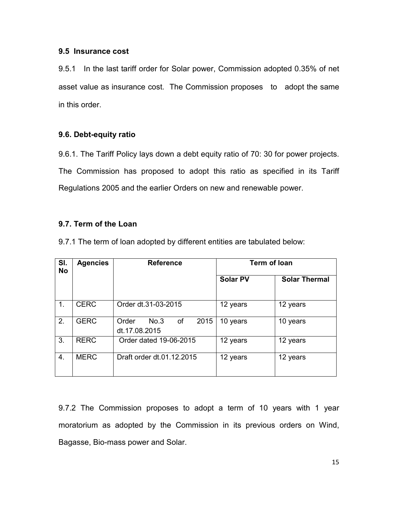### 9.5 Insurance cost

9.5.1 In the last tariff order for Solar power, Commission adopted 0.35% of net asset value as insurance cost. The Commission proposes to adopt the same in this order.

### 9.6. Debt-equity ratio

9.6.1. The Tariff Policy lays down a debt equity ratio of 70: 30 for power projects. The Commission has proposed to adopt this ratio as specified in its Tariff Regulations 2005 and the earlier Orders on new and renewable power.

### 9.7. Term of the Loan

9.7.1 The term of loan adopted by different entities are tabulated below:

| SI.<br><b>No</b> | <b>Agencies</b> | <b>Reference</b>                             | <b>Term of loan</b> |                      |  |  |  |  |  |  |
|------------------|-----------------|----------------------------------------------|---------------------|----------------------|--|--|--|--|--|--|
|                  |                 |                                              | <b>Solar PV</b>     | <b>Solar Thermal</b> |  |  |  |  |  |  |
| 1.               | <b>CERC</b>     | Order dt.31-03-2015                          | 12 years            | 12 years             |  |  |  |  |  |  |
| 2.               | <b>GERC</b>     | No.3<br>of<br>2015<br>Order<br>dt.17.08.2015 | 10 years            | 10 years             |  |  |  |  |  |  |
| 3.               | <b>RERC</b>     | Order dated 19-06-2015                       | 12 years            | 12 years             |  |  |  |  |  |  |
| 4.               | <b>MERC</b>     | Draft order dt.01.12.2015                    | 12 years            | 12 years             |  |  |  |  |  |  |

9.7.2 The Commission proposes to adopt a term of 10 years with 1 year moratorium as adopted by the Commission in its previous orders on Wind, Bagasse, Bio-mass power and Solar.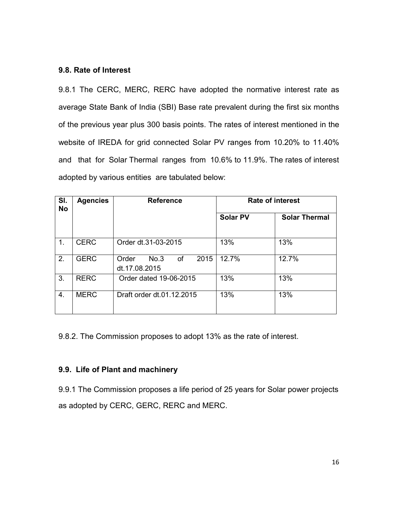### 9.8. Rate of Interest

9.8.1 The CERC, MERC, RERC have adopted the normative interest rate as average State Bank of India (SBI) Base rate prevalent during the first six months of the previous year plus 300 basis points. The rates of interest mentioned in the website of IREDA for grid connected Solar PV ranges from 10.20% to 11.40% and that for Solar Thermal ranges from 10.6% to 11.9%. The rates of interest adopted by various entities are tabulated below:

| SI.<br><b>No</b> | <b>Agencies</b> | <b>Reference</b>                             | <b>Rate of interest</b> |                      |  |  |  |  |  |  |  |
|------------------|-----------------|----------------------------------------------|-------------------------|----------------------|--|--|--|--|--|--|--|
|                  |                 |                                              | <b>Solar PV</b>         | <b>Solar Thermal</b> |  |  |  |  |  |  |  |
| 1.               | <b>CERC</b>     | Order dt.31-03-2015                          | 13%                     | 13%                  |  |  |  |  |  |  |  |
| 2.               | <b>GERC</b>     | 2015<br>Order<br>No.3<br>0f<br>dt.17.08.2015 | 12.7%                   | 12.7%                |  |  |  |  |  |  |  |
| 3.               | <b>RERC</b>     | Order dated 19-06-2015                       | 13%                     | 13%                  |  |  |  |  |  |  |  |
| 4.               | <b>MERC</b>     | Draft order dt.01.12.2015                    | 13%                     | 13%                  |  |  |  |  |  |  |  |

9.8.2. The Commission proposes to adopt 13% as the rate of interest.

# 9.9. Life of Plant and machinery

9.9.1 The Commission proposes a life period of 25 years for Solar power projects as adopted by CERC, GERC, RERC and MERC.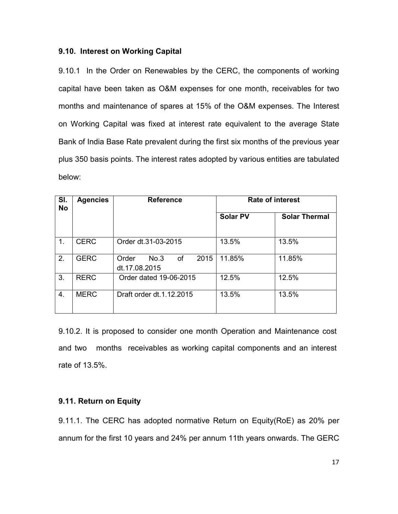### 9.10. Interest on Working Capital

9.10.1 In the Order on Renewables by the CERC, the components of working capital have been taken as O&M expenses for one month, receivables for two months and maintenance of spares at 15% of the O&M expenses. The Interest on Working Capital was fixed at interest rate equivalent to the average State Bank of India Base Rate prevalent during the first six months of the previous year plus 350 basis points. The interest rates adopted by various entities are tabulated below:

| SI.<br><b>No</b> | <b>Agencies</b> | <b>Reference</b>                                    | <b>Rate of interest</b> |                      |  |  |  |  |  |  |
|------------------|-----------------|-----------------------------------------------------|-------------------------|----------------------|--|--|--|--|--|--|
|                  |                 |                                                     | <b>Solar PV</b>         | <b>Solar Thermal</b> |  |  |  |  |  |  |
| 1.               | <b>CERC</b>     | Order dt.31-03-2015                                 | 13.5%                   | 13.5%                |  |  |  |  |  |  |
| 2.               | <b>GERC</b>     | <b>of</b><br>2015<br>Order<br>No.3<br>dt.17.08.2015 | 11.85%<br>11.85%        |                      |  |  |  |  |  |  |
| 3.               | <b>RERC</b>     | Order dated 19-06-2015                              | 12.5%                   | 12.5%                |  |  |  |  |  |  |
| 4.               | <b>MERC</b>     | Draft order dt.1.12.2015                            | 13.5%                   | 13.5%                |  |  |  |  |  |  |

9.10.2. It is proposed to consider one month Operation and Maintenance cost and two months receivables as working capital components and an interest rate of 13.5%.

# 9.11. Return on Equity

9.11.1. The CERC has adopted normative Return on Equity(RoE) as 20% per annum for the first 10 years and 24% per annum 11th years onwards. The GERC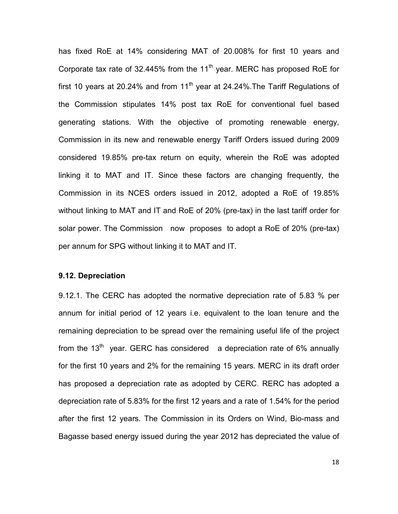has fixed RoE at 14% considering MAT of 20.008% for first 10 years and Corporate tax rate of 32.445% from the 11<sup>th</sup> year. MERC has proposed RoE for first 10 years at 20.24% and from  $11<sup>th</sup>$  year at 24.24%. The Tariff Regulations of the Commission stipulates 14% post tax RoE for conventional fuel based generating stations. With the objective of promoting renewable energy, Commission in its new and renewable energy Tariff Orders issued during 2009 considered 19.85% pre-tax return on equity, wherein the RoE was adopted linking it to MAT and IT. Since these factors are changing frequently, the Commission in its NCES orders issued in 2012, adopted a RoE of 19.85% without linking to MAT and IT and RoE of 20% (pre-tax) in the last tariff order for solar power. The Commission now proposes to adopt a RoE of 20% (pre-tax) per annum for SPG without linking it to MAT and IT.

#### 9.12. Depreciation

9.12.1. The CERC has adopted the normative depreciation rate of 5.83 % per annum for initial period of 12 years i.e. equivalent to the loan tenure and the remaining depreciation to be spread over the remaining useful life of the project from the  $13<sup>th</sup>$  year. GERC has considered a depreciation rate of 6% annually for the first 10 years and 2% for the remaining 15 years. MERC in its draft order has proposed a depreciation rate as adopted by CERC. RERC has adopted a depreciation rate of 5.83% for the first 12 years and a rate of 1.54% for the period after the first 12 years. The Commission in its Orders on Wind, Bio-mass and Bagasse based energy issued during the year 2012 has depreciated the value of

18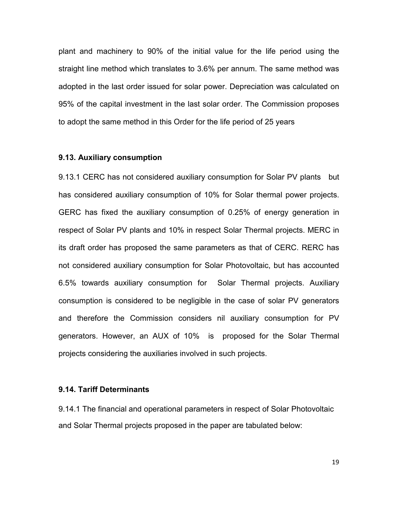plant and machinery to 90% of the initial value for the life period using the straight line method which translates to 3.6% per annum. The same method was adopted in the last order issued for solar power. Depreciation was calculated on 95% of the capital investment in the last solar order. The Commission proposes to adopt the same method in this Order for the life period of 25 years

#### 9.13. Auxiliary consumption

9.13.1 CERC has not considered auxiliary consumption for Solar PV plants but has considered auxiliary consumption of 10% for Solar thermal power projects. GERC has fixed the auxiliary consumption of 0.25% of energy generation in respect of Solar PV plants and 10% in respect Solar Thermal projects. MERC in its draft order has proposed the same parameters as that of CERC. RERC has not considered auxiliary consumption for Solar Photovoltaic, but has accounted 6.5% towards auxiliary consumption for Solar Thermal projects. Auxiliary consumption is considered to be negligible in the case of solar PV generators and therefore the Commission considers nil auxiliary consumption for PV generators. However, an AUX of 10% is proposed for the Solar Thermal projects considering the auxiliaries involved in such projects.

### 9.14. Tariff Determinants

9.14.1 The financial and operational parameters in respect of Solar Photovoltaic and Solar Thermal projects proposed in the paper are tabulated below:

19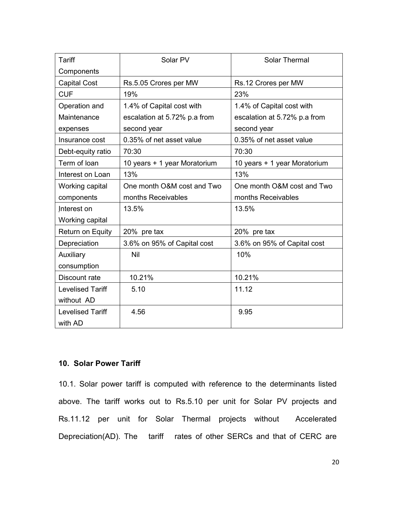| Tariff                  | Solar PV                     | <b>Solar Thermal</b>         |
|-------------------------|------------------------------|------------------------------|
| Components              |                              |                              |
| <b>Capital Cost</b>     | Rs.5.05 Crores per MW        | Rs.12 Crores per MW          |
| <b>CUF</b>              | 19%                          | 23%                          |
| Operation and           | 1.4% of Capital cost with    | 1.4% of Capital cost with    |
| Maintenance             | escalation at 5.72% p.a from | escalation at 5.72% p.a from |
| expenses                | second year                  | second year                  |
| Insurance cost          | 0.35% of net asset value     | 0.35% of net asset value     |
| Debt-equity ratio       | 70:30                        | 70:30                        |
| Term of loan            | 10 years + 1 year Moratorium | 10 years + 1 year Moratorium |
| Interest on Loan        | 13%                          | 13%                          |
| Working capital         | One month O&M cost and Two   | One month O&M cost and Two   |
| components              | months Receivables           | months Receivables           |
| Interest on             | 13.5%                        | 13.5%                        |
| Working capital         |                              |                              |
| Return on Equity        | 20% pre tax                  | 20% pre tax                  |
| Depreciation            | 3.6% on 95% of Capital cost  | 3.6% on 95% of Capital cost  |
| Auxiliary               | Nil                          | 10%                          |
| consumption             |                              |                              |
| Discount rate           | 10.21%                       | 10.21%                       |
| <b>Levelised Tariff</b> | 5.10                         | 11.12                        |
| without AD              |                              |                              |
| <b>Levelised Tariff</b> | 4.56                         | 9.95                         |
| with AD                 |                              |                              |

# 10. Solar Power Tariff

10.1. Solar power tariff is computed with reference to the determinants listed above. The tariff works out to Rs.5.10 per unit for Solar PV projects and Rs.11.12 per unit for Solar Thermal projects without Accelerated Depreciation(AD). The tariff rates of other SERCs and that of CERC are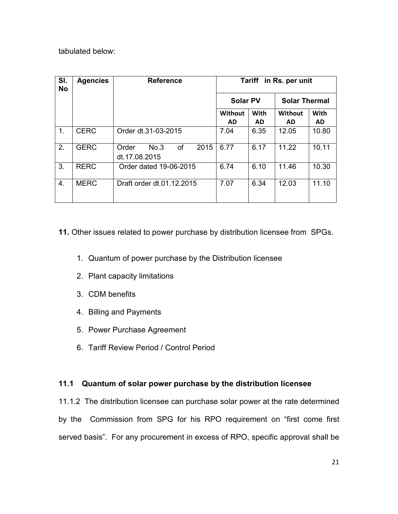# tabulated below:

| SI.<br><b>No</b> | <b>Agencies</b> | <b>Reference</b>                                    | Tariff in Rs. per unit |             |                        |           |  |  |  |  |  |  |  |
|------------------|-----------------|-----------------------------------------------------|------------------------|-------------|------------------------|-----------|--|--|--|--|--|--|--|
|                  |                 |                                                     | <b>Solar PV</b>        |             | <b>Solar Thermal</b>   |           |  |  |  |  |  |  |  |
|                  |                 |                                                     | Without                | <b>With</b> | <b>With</b><br>Without |           |  |  |  |  |  |  |  |
|                  |                 |                                                     | <b>AD</b>              | <b>AD</b>   | <b>AD</b>              | <b>AD</b> |  |  |  |  |  |  |  |
| 1.               | <b>CERC</b>     | Order dt.31-03-2015                                 | 7.04                   | 6.35        | 12.05                  | 10.80     |  |  |  |  |  |  |  |
| 2.               | <b>GERC</b>     | <b>of</b><br>No.3<br>2015<br>Order<br>dt.17.08.2015 | 6.77                   | 6.17        | 11.22                  | 10.11     |  |  |  |  |  |  |  |
| 3.               | <b>RERC</b>     | Order dated 19-06-2015                              | 6.74                   | 6.10        | 11.46                  | 10.30     |  |  |  |  |  |  |  |
| 4.               | <b>MERC</b>     | Draft order dt.01.12.2015                           | 7.07                   | 6.34        | 11.10<br>12.03         |           |  |  |  |  |  |  |  |

# 11. Other issues related to power purchase by distribution licensee from SPGs.

- 1. Quantum of power purchase by the Distribution licensee
- 2. Plant capacity limitations
- 3. CDM benefits
- 4. Billing and Payments
- 5. Power Purchase Agreement
- 6. Tariff Review Period / Control Period

# 11.1 Quantum of solar power purchase by the distribution licensee

11.1.2 The distribution licensee can purchase solar power at the rate determined by the Commission from SPG for his RPO requirement on "first come first served basis". For any procurement in excess of RPO, specific approval shall be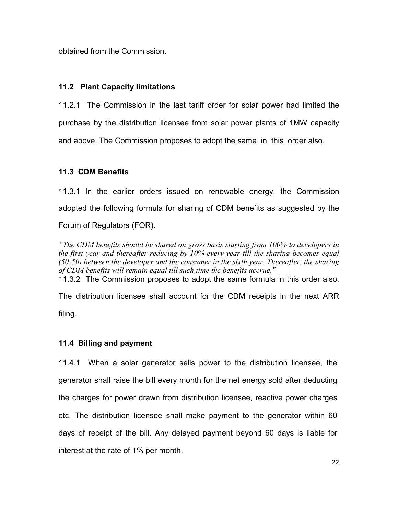obtained from the Commission.

# 11.2 Plant Capacity limitations

11.2.1 The Commission in the last tariff order for solar power had limited the purchase by the distribution licensee from solar power plants of 1MW capacity and above. The Commission proposes to adopt the same in this order also.

# 11.3 CDM Benefits

11.3.1 In the earlier orders issued on renewable energy, the Commission adopted the following formula for sharing of CDM benefits as suggested by the Forum of Regulators (FOR).

"The CDM benefits should be shared on gross basis starting from 100% to developers in the first year and thereafter reducing by 10% every year till the sharing becomes equal  $(50:50)$  between the developer and the consumer in the sixth year. Thereafter, the sharing of CDM benefits will remain equal till such time the benefits accrue."

11.3.2 The Commission proposes to adopt the same formula in this order also.

The distribution licensee shall account for the CDM receipts in the next ARR filing.

# 11.4 Billing and payment

11.4.1 When a solar generator sells power to the distribution licensee, the generator shall raise the bill every month for the net energy sold after deducting the charges for power drawn from distribution licensee, reactive power charges etc. The distribution licensee shall make payment to the generator within 60 days of receipt of the bill. Any delayed payment beyond 60 days is liable for interest at the rate of 1% per month.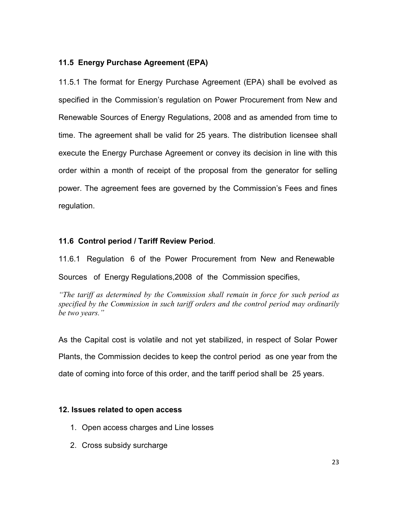# 11.5 Energy Purchase Agreement (EPA)

11.5.1 The format for Energy Purchase Agreement (EPA) shall be evolved as specified in the Commission's regulation on Power Procurement from New and Renewable Sources of Energy Regulations, 2008 and as amended from time to time. The agreement shall be valid for 25 years. The distribution licensee shall execute the Energy Purchase Agreement or convey its decision in line with this order within a month of receipt of the proposal from the generator for selling power. The agreement fees are governed by the Commission's Fees and fines regulation.

# 11.6 Control period / Tariff Review Period.

11.6.1 Regulation 6 of the Power Procurement from New and Renewable

Sources of Energy Regulations,2008 of the Commission specifies,

"The tariff as determined by the Commission shall remain in force for such period as specified by the Commission in such tariff orders and the control period may ordinarily be two years."

As the Capital cost is volatile and not yet stabilized, in respect of Solar Power Plants, the Commission decides to keep the control period as one year from the date of coming into force of this order, and the tariff period shall be 25 years.

# 12. Issues related to open access

- 1. Open access charges and Line losses
- 2. Cross subsidy surcharge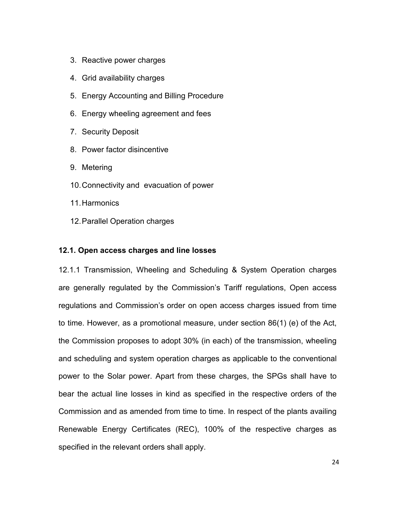- 3. Reactive power charges
- 4. Grid availability charges
- 5. Energy Accounting and Billing Procedure
- 6. Energy wheeling agreement and fees
- 7. Security Deposit
- 8. Power factor disincentive
- 9. Metering
- 10. Connectivity and evacuation of power
- 11. Harmonics
- 12. Parallel Operation charges

#### 12.1. Open access charges and line losses

12.1.1 Transmission, Wheeling and Scheduling & System Operation charges are generally regulated by the Commission's Tariff regulations, Open access regulations and Commission's order on open access charges issued from time to time. However, as a promotional measure, under section 86(1) (e) of the Act, the Commission proposes to adopt 30% (in each) of the transmission, wheeling and scheduling and system operation charges as applicable to the conventional power to the Solar power. Apart from these charges, the SPGs shall have to bear the actual line losses in kind as specified in the respective orders of the Commission and as amended from time to time. In respect of the plants availing Renewable Energy Certificates (REC), 100% of the respective charges as specified in the relevant orders shall apply.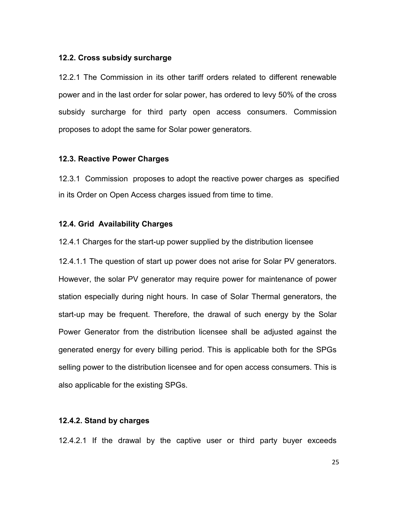#### 12.2. Cross subsidy surcharge

12.2.1 The Commission in its other tariff orders related to different renewable power and in the last order for solar power, has ordered to levy 50% of the cross subsidy surcharge for third party open access consumers. Commission proposes to adopt the same for Solar power generators.

#### 12.3. Reactive Power Charges

12.3.1 Commission proposes to adopt the reactive power charges as specified in its Order on Open Access charges issued from time to time.

### 12.4. Grid Availability Charges

12.4.1 Charges for the start-up power supplied by the distribution licensee

12.4.1.1 The question of start up power does not arise for Solar PV generators. However, the solar PV generator may require power for maintenance of power station especially during night hours. In case of Solar Thermal generators, the start-up may be frequent. Therefore, the drawal of such energy by the Solar Power Generator from the distribution licensee shall be adjusted against the generated energy for every billing period. This is applicable both for the SPGs selling power to the distribution licensee and for open access consumers. This is also applicable for the existing SPGs.

### 12.4.2. Stand by charges

12.4.2.1 If the drawal by the captive user or third party buyer exceeds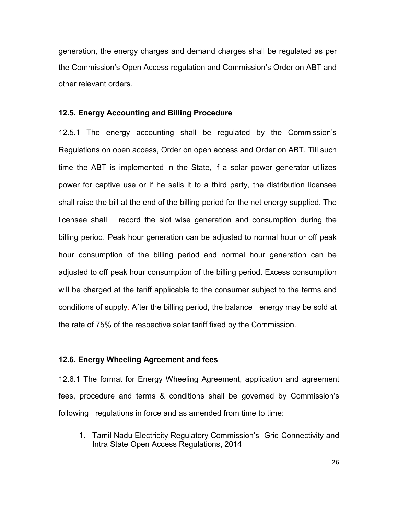generation, the energy charges and demand charges shall be regulated as per the Commission's Open Access regulation and Commission's Order on ABT and other relevant orders.

#### 12.5. Energy Accounting and Billing Procedure

12.5.1 The energy accounting shall be regulated by the Commission's Regulations on open access, Order on open access and Order on ABT. Till such time the ABT is implemented in the State, if a solar power generator utilizes power for captive use or if he sells it to a third party, the distribution licensee shall raise the bill at the end of the billing period for the net energy supplied. The licensee shall record the slot wise generation and consumption during the billing period. Peak hour generation can be adjusted to normal hour or off peak hour consumption of the billing period and normal hour generation can be adjusted to off peak hour consumption of the billing period. Excess consumption will be charged at the tariff applicable to the consumer subject to the terms and conditions of supply. After the billing period, the balance energy may be sold at the rate of 75% of the respective solar tariff fixed by the Commission.

### 12.6. Energy Wheeling Agreement and fees

12.6.1 The format for Energy Wheeling Agreement, application and agreement fees, procedure and terms & conditions shall be governed by Commission's following regulations in force and as amended from time to time:

1. Tamil Nadu Electricity Regulatory Commission's Grid Connectivity and Intra State Open Access Regulations, 2014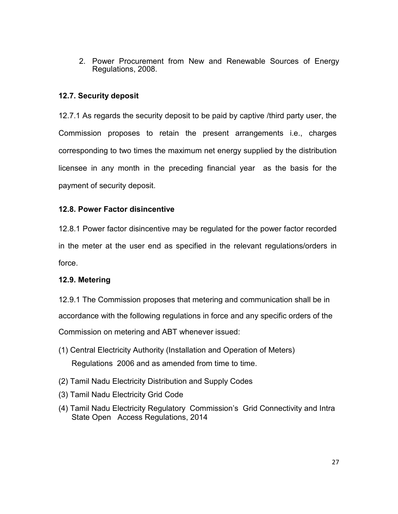2. Power Procurement from New and Renewable Sources of Energy Regulations, 2008.

# 12.7. Security deposit

12.7.1 As regards the security deposit to be paid by captive /third party user, the Commission proposes to retain the present arrangements i.e., charges corresponding to two times the maximum net energy supplied by the distribution licensee in any month in the preceding financial year as the basis for the payment of security deposit.

# 12.8. Power Factor disincentive

12.8.1 Power factor disincentive may be regulated for the power factor recorded in the meter at the user end as specified in the relevant regulations/orders in force.

# 12.9. Metering

12.9.1 The Commission proposes that metering and communication shall be in accordance with the following regulations in force and any specific orders of the Commission on metering and ABT whenever issued:

- (1) Central Electricity Authority (Installation and Operation of Meters) Regulations 2006 and as amended from time to time.
- (2) Tamil Nadu Electricity Distribution and Supply Codes
- (3) Tamil Nadu Electricity Grid Code
- (4) Tamil Nadu Electricity Regulatory Commission's Grid Connectivity and Intra State Open Access Regulations, 2014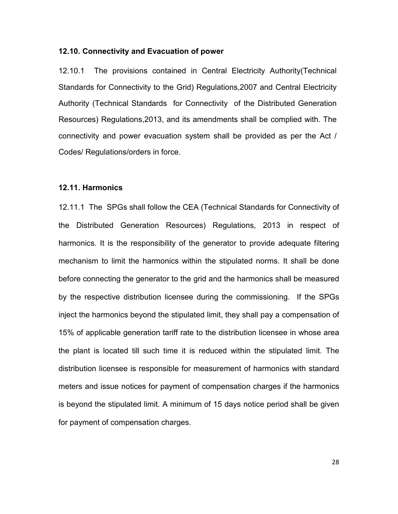#### 12.10. Connectivity and Evacuation of power

12.10.1 The provisions contained in Central Electricity Authority(Technical Standards for Connectivity to the Grid) Regulations,2007 and Central Electricity Authority (Technical Standards for Connectivity of the Distributed Generation Resources) Regulations,2013, and its amendments shall be complied with. The connectivity and power evacuation system shall be provided as per the Act / Codes/ Regulations/orders in force.

#### 12.11. Harmonics

12.11.1 The SPGs shall follow the CEA (Technical Standards for Connectivity of the Distributed Generation Resources) Regulations, 2013 in respect of harmonics. It is the responsibility of the generator to provide adequate filtering mechanism to limit the harmonics within the stipulated norms. It shall be done before connecting the generator to the grid and the harmonics shall be measured by the respective distribution licensee during the commissioning. If the SPGs inject the harmonics beyond the stipulated limit, they shall pay a compensation of 15% of applicable generation tariff rate to the distribution licensee in whose area the plant is located till such time it is reduced within the stipulated limit. The distribution licensee is responsible for measurement of harmonics with standard meters and issue notices for payment of compensation charges if the harmonics is beyond the stipulated limit. A minimum of 15 days notice period shall be given for payment of compensation charges.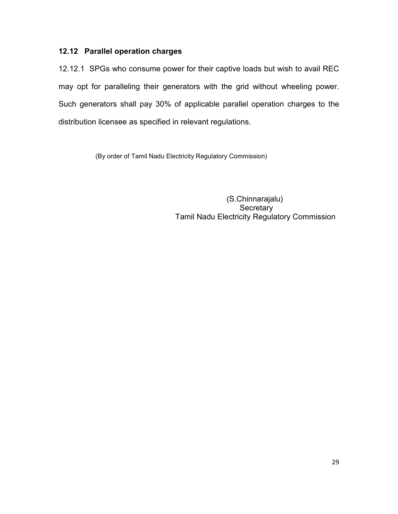# 12.12 Parallel operation charges

12.12.1 SPGs who consume power for their captive loads but wish to avail REC may opt for paralleling their generators with the grid without wheeling power. Such generators shall pay 30% of applicable parallel operation charges to the distribution licensee as specified in relevant regulations.

(By order of Tamil Nadu Electricity Regulatory Commission)

 (S.Chinnarajalu) **Secretary** Tamil Nadu Electricity Regulatory Commission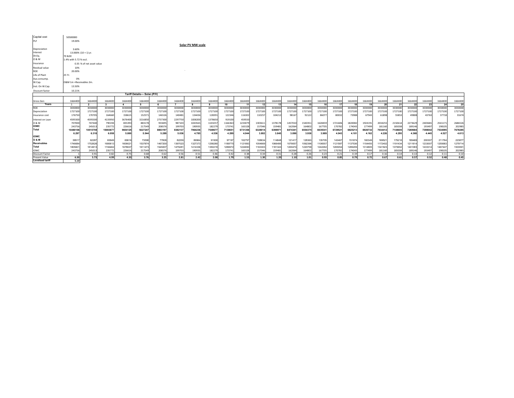| Capital cost            | 50500000                      |                           |              |              |              |               |                           |                   |              |               |               |               |                 |               |               |               |               |               |               |               |               |               |               |               |               |
|-------------------------|-------------------------------|---------------------------|--------------|--------------|--------------|---------------|---------------------------|-------------------|--------------|---------------|---------------|---------------|-----------------|---------------|---------------|---------------|---------------|---------------|---------------|---------------|---------------|---------------|---------------|---------------|---------------|
| PLF                     | 19.00%                        |                           |              |              |              |               |                           |                   |              |               |               |               |                 |               |               |               |               |               |               |               |               |               |               |               |               |
|                         |                               |                           |              |              |              |               |                           | Solar PV MW scale |              |               |               |               |                 |               |               |               |               |               |               |               |               |               |               |               |               |
| Depreciation            | 3.60%                         |                           |              |              |              |               |                           |                   |              |               |               |               |                 |               |               |               |               |               |               |               |               |               |               |               |               |
| Interest                | 13.000% (10 + 1) yr.          |                           |              |              |              |               |                           |                   |              |               |               |               |                 |               |               |               |               |               |               |               |               |               |               |               |               |
| Dt:Eq.                  | 70 & 30                       |                           |              |              |              |               |                           |                   |              |               |               |               |                 |               |               |               |               |               |               |               |               |               |               |               |               |
| 0 & M                   | 1.4% with 5.72 % escl.        |                           |              |              |              |               |                           |                   |              |               |               |               |                 |               |               |               |               |               |               |               |               |               |               |               |               |
| Insurance               |                               | 0.35 % of net asset value |              |              |              |               |                           |                   |              |               |               |               |                 |               |               |               |               |               |               |               |               |               |               |               |               |
| Residual value          | 10%                           |                           |              |              |              |               |                           |                   |              |               |               |               |                 |               |               |               |               |               |               |               |               |               |               |               |               |
| ROE                     | 20.00%                        |                           |              |              |              |               |                           |                   |              |               |               |               |                 |               |               |               |               |               |               |               |               |               |               |               |               |
| Life of Plant           | 25 Yr.                        |                           |              |              |              |               |                           |                   |              |               |               |               |                 |               |               |               |               |               |               |               |               |               |               |               |               |
| Aux.consump             | 0%                            |                           |              |              |              |               |                           |                   |              |               |               |               |                 |               |               |               |               |               |               |               |               |               |               |               |               |
| W.Cap.                  | O&M 1m +Receivables 2m.       |                           |              |              |              |               |                           |                   |              |               |               |               |                 |               |               |               |               |               |               |               |               |               |               |               |               |
| Inst. On W.Cap.         | 13.50%                        |                           |              |              |              |               |                           |                   |              |               |               |               |                 |               |               |               |               |               |               |               |               |               |               |               |               |
| Discount factor         | 10.21%                        |                           |              |              |              |               |                           |                   |              |               |               |               |                 |               |               |               |               |               |               |               |               |               |               |               |               |
|                         | Tariff Details--- Solar.(P/V) |                           |              |              |              |               |                           |                   |              |               |               |               |                 |               |               |               |               |               |               |               |               |               |               |               |               |
|                         |                               |                           |              |              |              |               |                           |                   |              |               |               |               |                 |               |               |               |               |               |               |               |               |               |               |               |               |
| Gross Gen<br>Years      | 1664400                       | 1664400<br>$\overline{2}$ | 1664400<br>3 | 1664400<br>4 | 1664400<br>5 | 1664400<br>-6 | 1664400<br>$\overline{7}$ | 1664400<br>8      | 1664400<br>9 | 1664400<br>10 | 1664400<br>11 | 1664400<br>12 | 1664400<br>- 13 | 1664400<br>14 | 1664400<br>15 | 1664400<br>16 | 1664400<br>17 | 1664400<br>18 | 1664400<br>19 | 1664400<br>20 | 1664400<br>21 | 1664400<br>22 | 1664400<br>23 | 1664400<br>24 | 1664400<br>25 |
| <b>ROE</b>              | 3030000                       | 3030000                   | 3030000      | 3030000      | 3030000      | 3030000       | 3030000                   | 3030000           | 3030000      | 3030000       | 3030000       | 3030000       | 3030000         | 3030000       | 3030000       | 3030000       | 3030000       | 3030000       | 3030000       | 3030000       | 3030000       | 3030000       | 3030000       | 3030000       | 3030000       |
| Depreciation            | 1727100                       | 1727100                   | 1727100      | 1727100      | 1727100      | 1727100       | 1727100                   | 1727100           | 1727100      | 1727100       | 1727100       | 1727100       | 1727100         | 1727100       | 1727100       | 1727100       | 1727100       | 1727100       | 1727100       | 1727100       | 1727100       | 1727100       | 1727100       | 1727100       | 1727100       |
| Insurance cost          | 176750                        | 170705                    | 164660       | 158615       | 152571       | 146526        | 140481                    | 134436            | 128391       | 122346        | 116302        | 110257        | 104212          | 98167         | 92122         | 8607          | 80032         | 73988         | 67943         | 61898         | 55853         | 49808         | 43763         | 37718         | 31674         |
| Interest on Loan        | 4595500                       | 4595500                   | 4135950      | 3676400      | 3216850      | 2757300       | 2297750                   | 1838200           | 1378650      | 919100        | 459550        |               |                 |               |               |               |               |               |               |               |               |               |               |               |               |
| 0 & M                   | 707000                        | 747440                    | 790194       | 835393       | 883178       | 933695        | 987103                    | 1043565           | 1103257      | 1166363       | 1233079       | 1303611       | 1378178         | 1457010       | 1540351       | 1628459       | 1721606       | 1820082       | 1924191       | 2034255       | 2150614       | 2273629       | 2403681       | 2541171       | 2686526       |
| <b>IOWC</b>             | 243756                        | 245013                    | 235772       | 226616       | 217549       | 208576        | 199703                    | 190935            | 18227        | 173741        | 165328        | 157046        | 159481          | 162064        | 164802        | 167705        | 170782        | 174043        | 177499        | 181160        | 185038        | 189146        | 193497        | 198105        | 202985        |
| Total                   | 10480106                      | 10515759                  | 10083677     | 9654125      | 9227247      | 8803197       | 8382137                   | 7964236           | 754967       | 7138651       | 6731358       | 6328014       | 639897          | 647434        | 6554375       | 663934        | 6729521       | 6825213       | 6926732       | 7034412       | 7148605       | 7269684       | 7398042       | 7534095       | 7678285       |
|                         | 6.297                         | 6.318                     | 6.058        | 5.800        | 5.544        | 5.289         | 5.036                     | 4.785             | 4.536        | 4.289         | 4.044         | 3.802         | 3.845           | 3.890         | 3.938         | 3.989         | 4.043         | 4.101         | 4.162         | 4.226         | 4.295         | 4.368         | 4.445         | 4.527         | 4.613         |
| <b>IOWC</b>             |                               |                           |              |              |              |               |                           |                   |              |               |               |               |                 |               |               |               |               |               |               |               |               |               |               |               |               |
| O & M                   | 58917                         | 62287                     | 65849        | 69616        | 73598        | 77808         | 82259                     | 86964             | 91938        | 97197         | 102757        | 108634        | 114848          | 121417        | 128363        | 135705        | 143467        | 151674        | 160349        | 169521        | 179218        | 189469        | 200307        | 211764        | 223877        |
| Receivables             | 1746684                       | 1752626                   | 1680613      | 1609021      | 1537874      | 1467200       | 1397023                   | 1327373           | 1258280      | 1189775       | 1121893       | 1054669       | 1066495         | 1079057       | 1092396       | 1106557       | 1121587       | 1137536       | 1154455       | 1172402       | 1191434       | 1211614       | 1233007       | 1255683       | 1279714       |
| Total                   | 180560                        | 1814913                   | 1746462      | 1678637      | 1611473      | 1545007       | 1479281                   | 1414336           | 1350218      | 1286972       | 1224650       | 1163303       | 1181343         | 1200474       | 1220758       | 1242262       | 1265054       | 1289209       | 1314805       | 1341923       | 1370652       | 1401083       | 1433314       | 1467447       | 1503591       |
| <b>IOWC</b>             | 243756                        | 245013                    | 235772       | 226616       | 217549       | 208576        | 199703                    | 190935            | 182279       | 173741        | 165328        | 157046        | 159481          | 162064        | 164802        | 167705        | 170782        | 174043        | 177499        | 181160        | 185038        | 189146        | 193497        | 198105        | 20298         |
| <b>Discount Factor</b>  |                               | 0.91                      | 0.82         | 0.75         | 0.68         | 0.62          | 0.56                      | 0.51              | 0.46         | 0.42          | 0.38          | 0.34          | 0.31            | 0.28          | 0.26          | 0.23          | 0.21          | 0.19          | 0.17          | 0.16          | 0.14          | 0.13          | 0.12          | 0.11          | 0.10          |
| <b>Present Value</b>    | 6.30                          | 5.73                      | 4.99         | 4.33         | 3.76         | 3.25          | 2.81                      | 2.42              | 2.08         | 1.79          | 1.53          | 1.30          | 1.20            | 1.10          | 1.01          | 0.93          | 0.85          | 0.79          | 0.72          | 0.67          | 0.61          | 0.57          | 0.52          | 0.48          | 0.45          |
| <b>Levelised tariff</b> | 5.10                          |                           |              |              |              |               |                           |                   |              |               |               |               |                 |               |               |               |               |               |               |               |               |               |               |               |               |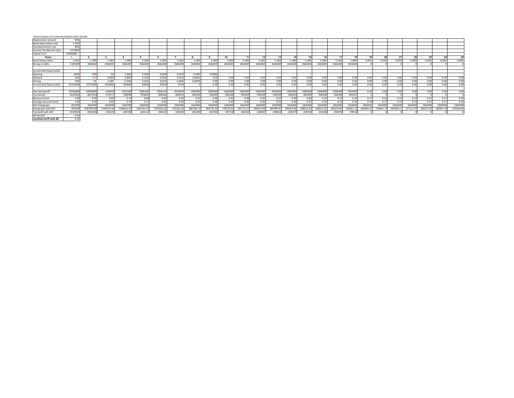#### Determination of accelerated depreciation benefit

| Depreciation amount             | 90%              |           |           |           |           |            |            |            |            |                |           |           |            |            |            |            |            |           |         |          |             |          |          |           |          |
|---------------------------------|------------------|-----------|-----------|-----------|-----------|------------|------------|------------|------------|----------------|-----------|-----------|------------|------------|------------|------------|------------|-----------|---------|----------|-------------|----------|----------|-----------|----------|
| Book depreciation rate          | 5.28%            |           |           |           |           |            |            |            |            |                |           |           |            |            |            |            |            |           |         |          |             |          |          |           |          |
| Tax depreciation rate           | 809              |           |           |           |           |            |            |            |            |                |           |           |            |            |            |            |            |           |         |          |             |          |          |           |          |
| Income Tax (Normal rate)        | 33,9909          |           |           |           |           |            |            |            |            |                |           |           |            |            |            |            |            |           |         |          |             |          |          |           |          |
| Capital Cost                    | 50500000         |           |           |           |           |            |            |            |            |                |           |           |            |            |            |            |            |           |         |          |             |          |          |           |          |
| Years                           |                  |           |           |           |           |            |            |            |            | $\overline{a}$ |           |           |            |            |            |            |            |           |         | 20       | $2^{\circ}$ |          |          |           |          |
| <b>Book Depreciation</b>        | 2.649            | 5.289     | 5.289     | 5.289     | 5.289     | 5.28%      | 5.28%      | 5.28%      | 5.28%      | 5.28%          | 5.289     | 5.28%     | 5.28%      | 5.28%      | 5.28%      | 5.28%      | 5.28%      | 2.889     | 0.009   | 0.009    | 0.00%       | 0.009    | 0.009    | 0.00%     | 0.00%    |
| Bk dep in lakhs                 | 133320           | 266640    | 266640    | 266640    | 266640    | 2666400    | 266640     | 2666400    | 266640     | 2666400        | 266640    | 266640    | 266640     | 2666400    | 2666400    | 2666400    | 2666400    | 1454400   |         |          |             |          |          |           |          |
|                                 |                  |           |           |           |           |            |            |            |            |                |           |           |            |            |            |            |            |           |         |          |             |          |          |           |          |
| <b>Accelerated Depreciation</b> |                  |           |           |           |           |            |            |            |            |                |           |           |            |            |            |            |            |           |         |          |             |          |          |           |          |
| Opening                         | 100%             | 50%       |           | 1.009     | 0.20%     | 0.04%      | 0.01%      | 0.00%      | 0.000%     |                |           |           |            |            |            |            |            |           |         |          |             |          |          |           |          |
| Allowed                         | 50               | 45        | 4.00%     | 0.80%     | 0.16%     | 0.03%      | 0.01%      | 0.000%     | 0.00       | 0.00           | 0.00      | 0.00      | 0.00       | 0.00       | 0.00       | 0.00       | 0.00       | 0.00      | 0.00    | 0.00     | 0.00.       |          | 0.00     | 0.00      |          |
| Closine                         | 50%              | 5%        | 1.00%     | 0.20%     | 0.04%     | 0.01%      | 0.00%      | 0.000%     | 0.00       | 0.00           | 0.00      | 0.00      | 0.00       | 0.00       | 0.00       | 0.00       | 0.00       | 0.00      | 0.00    | 0.00     | 0.00        | 0.00     | 0.00     | 0.00      | 0.00     |
| <b>Accelerated Depreciation</b> | 2525000          | 22725000  | 202000    | 40400     | 8080      | 20250      | 6750       |            | 0.00       | 0.00           |           | 0.00      | 0.01       | 0.00       | 0.00       | 0.00       | 0.00       | 0.00      | 0.00    | 2.00     | 0.00        | 0.00     | 0.01     | n.nn      | 0.OC     |
|                                 |                  |           |           |           |           |            |            |            |            |                |           |           |            |            |            |            |            |           |         |          |             |          |          |           |          |
| Net dep benefit                 | 2391680          | 2005860   | $-64640$  | $-226240$ | $-258560$ | $-2646150$ | $-2659650$ | $-2666400$ | $-2666400$ | $-2666400$     | $-266640$ | $-266640$ | $-2666400$ | $-2666400$ | $-2666400$ | $-2666400$ | $-2666400$ | 1454400   | 0.00    | 0.00     | 0.00        |          | 0.00     | n.nn      | 0.00     |
| <b>Tax benefit</b>              | 812932           | 681791    | $-219711$ | $-768990$ | $-878849$ | $-899426$  | $-904015$  | $-906309$  | $-906309$  | $-906309$      | $-90630$  | $-906309$ | $-906309$  | -906309    | -906309    | $-906305$  | $-906309$  | $-49435$  |         |          |             |          |          |           |          |
| Discount factor                 |                  | 0.91      | 0.82      | 0.75      | 0.65      | 0.62       | 0.56       | 0.51       | 0.46       | 0.42           | 0.38      | 0.34      | 0.3        | 0.28       | 0.26       | 0.23       | 0.21       | 0.19      | 0.1     | 0.16     |             | 0.13     | 0.12     |           |          |
| Average discount factor         | 1.0 <sub>1</sub> | 0.9!      | 0.87      | 0.79      | 0.71      | 0.65       | 0.59       | 0.53       | 0.48       | 0.44           |           | 0.36      | 0.33       | 0.30       | 0.27       | 0.24       | 0.22       | 0.20      |         | 0.17     | 0.15        | 0.14     | 0.12     |           | 0.10     |
| Net Energy gen                  | 83220            | 166440    | 166440    | 166440    | 166440    | 1664400    | 1664400    | 1664400    | 1664400    | 1664400        | 166440    | 166440    | 166440     | 1664400    | 1664400    | 1664400    | 1664400    | 1664400   | 166440  | 166440   | 1664400     | 166440   | 166440   | 1664400   | 166440   |
| Energy gen with DCF             | 83220            | 1587303.8 | 440253.9  | 1306826.9 | 1185760.7 | 1075910.3  | 976236.56  | 885796.72  | 803735.34  | 729276.24      | 661715.1  | 600412.96 | 544789.9   | 494319.85  | 448525.41  | 406973.42  | 369270.8   | 335061.13 | 304020. | 275855.7 | 250300.1    | 227111.9 | 206072.0 | 186981.24 | 169659.0 |
| Tax benft with DCF              | 812932           | 650210    | 19012     | $-60378$  | $-62611$  | $-58141$   | $-53024$   | $-482339$  | $-43765$   | $-397110$      | 36032     | $-32694$  | $-29665$   | $-26917f$  | $-244234$  | $-22160F$  | $-20107$   | $-99518$  |         |          |             |          |          |           |          |
|                                 |                  |           |           |           |           |            |            |            |            |                |           |           |            |            |            |            |            |           |         |          |             |          |          |           |          |

Fax benft with DCF 8129320<br>AD benefit 0.54<br>Levelised tariff with AD 4.56